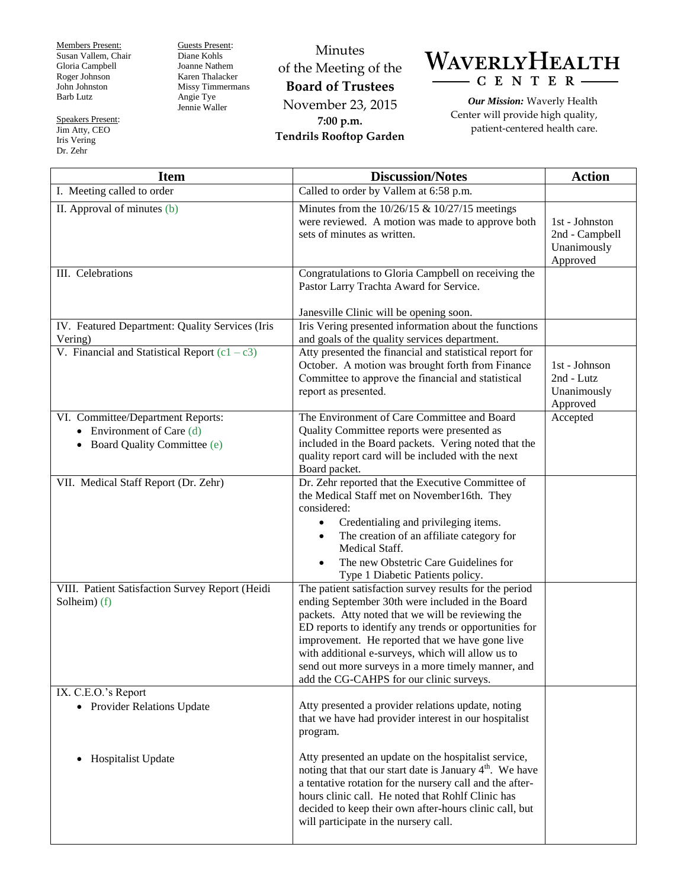Members Present: Susan Vallem, Chair Gloria Campbell Roger Johnson John Johnston Barb Lutz

Speakers Present: Jim Atty, CEO Iris Vering Dr. Zehr

Guests Present: Diane Kohls Joanne Nathem Karen Thalacker Missy Timmermans Angie Tye Jennie Waller

Minutes of the Meeting of the **Board of Trustees** November 23, 2015 **7:00 p.m. Tendrils Rooftop Garden**



*Our Mission:* Waverly Health Center will provide high quality, patient-centered health care.

| <b>Item</b>                                                                                 | <b>Discussion/Notes</b>                                                                                                                                                                                                                                                                                                                                                                                                             | <b>Action</b>                                               |
|---------------------------------------------------------------------------------------------|-------------------------------------------------------------------------------------------------------------------------------------------------------------------------------------------------------------------------------------------------------------------------------------------------------------------------------------------------------------------------------------------------------------------------------------|-------------------------------------------------------------|
| I. Meeting called to order                                                                  | Called to order by Vallem at 6:58 p.m.                                                                                                                                                                                                                                                                                                                                                                                              |                                                             |
| II. Approval of minutes (b)                                                                 | Minutes from the $10/26/15$ & $10/27/15$ meetings<br>were reviewed. A motion was made to approve both<br>sets of minutes as written.                                                                                                                                                                                                                                                                                                | 1st - Johnston<br>2nd - Campbell<br>Unanimously<br>Approved |
| III. Celebrations                                                                           | Congratulations to Gloria Campbell on receiving the<br>Pastor Larry Trachta Award for Service.<br>Janesville Clinic will be opening soon.                                                                                                                                                                                                                                                                                           |                                                             |
| IV. Featured Department: Quality Services (Iris<br>Vering)                                  | Iris Vering presented information about the functions<br>and goals of the quality services department.                                                                                                                                                                                                                                                                                                                              |                                                             |
| V. Financial and Statistical Report $(c1 - c3)$                                             | Atty presented the financial and statistical report for<br>October. A motion was brought forth from Finance<br>Committee to approve the financial and statistical<br>report as presented.                                                                                                                                                                                                                                           | 1st - Johnson<br>2nd - Lutz<br>Unanimously<br>Approved      |
| VI. Committee/Department Reports:<br>Environment of Care (d)<br>Board Quality Committee (e) | The Environment of Care Committee and Board<br>Quality Committee reports were presented as<br>included in the Board packets. Vering noted that the<br>quality report card will be included with the next<br>Board packet.                                                                                                                                                                                                           | Accepted                                                    |
| VII. Medical Staff Report (Dr. Zehr)                                                        | Dr. Zehr reported that the Executive Committee of<br>the Medical Staff met on November16th. They<br>considered:<br>Credentialing and privileging items.<br>The creation of an affiliate category for<br>$\bullet$<br>Medical Staff.<br>The new Obstetric Care Guidelines for<br>Type 1 Diabetic Patients policy.                                                                                                                    |                                                             |
| VIII. Patient Satisfaction Survey Report (Heidi<br>Solheim) (f)                             | The patient satisfaction survey results for the period<br>ending September 30th were included in the Board<br>packets. Atty noted that we will be reviewing the<br>ED reports to identify any trends or opportunities for<br>improvement. He reported that we have gone live<br>with additional e-surveys, which will allow us to<br>send out more surveys in a more timely manner, and<br>add the CG-CAHPS for our clinic surveys. |                                                             |
| IX. C.E.O.'s Report<br>• Provider Relations Update                                          | Atty presented a provider relations update, noting<br>that we have had provider interest in our hospitalist<br>program.                                                                                                                                                                                                                                                                                                             |                                                             |
| Hospitalist Update<br>$\bullet$                                                             | Atty presented an update on the hospitalist service,<br>noting that that our start date is January 4 <sup>th</sup> . We have<br>a tentative rotation for the nursery call and the after-<br>hours clinic call. He noted that Rohlf Clinic has<br>decided to keep their own after-hours clinic call, but<br>will participate in the nursery call.                                                                                    |                                                             |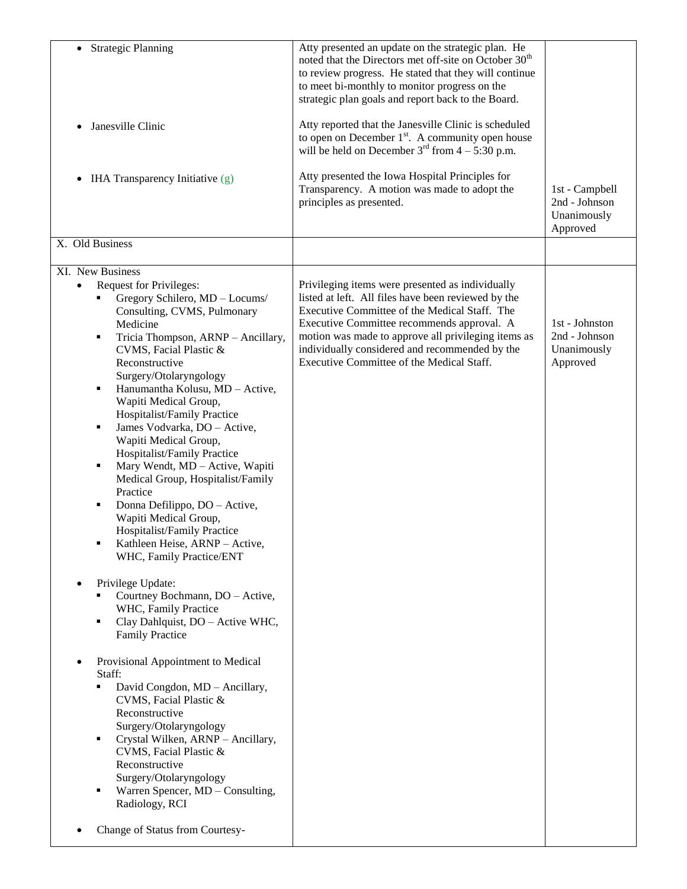| <b>Strategic Planning</b><br>Janesville Clinic<br>$\bullet$                                                                                                                                                                                                                                                                                                                                                                                                                                                                                                                                                                                                                                                                                                                                        | Atty presented an update on the strategic plan. He<br>noted that the Directors met off-site on October 30 <sup>th</sup><br>to review progress. He stated that they will continue<br>to meet bi-monthly to monitor progress on the<br>strategic plan goals and report back to the Board.<br>Atty reported that the Janesville Clinic is scheduled<br>to open on December $1st$ . A community open house<br>will be held on December $3^{rd}$ from $4 - 5:30$ p.m. |                                                            |
|----------------------------------------------------------------------------------------------------------------------------------------------------------------------------------------------------------------------------------------------------------------------------------------------------------------------------------------------------------------------------------------------------------------------------------------------------------------------------------------------------------------------------------------------------------------------------------------------------------------------------------------------------------------------------------------------------------------------------------------------------------------------------------------------------|------------------------------------------------------------------------------------------------------------------------------------------------------------------------------------------------------------------------------------------------------------------------------------------------------------------------------------------------------------------------------------------------------------------------------------------------------------------|------------------------------------------------------------|
| IHA Transparency Initiative (g)<br>٠                                                                                                                                                                                                                                                                                                                                                                                                                                                                                                                                                                                                                                                                                                                                                               | Atty presented the Iowa Hospital Principles for<br>Transparency. A motion was made to adopt the<br>principles as presented.                                                                                                                                                                                                                                                                                                                                      | 1st - Campbell<br>2nd - Johnson<br>Unanimously<br>Approved |
| X. Old Business                                                                                                                                                                                                                                                                                                                                                                                                                                                                                                                                                                                                                                                                                                                                                                                    |                                                                                                                                                                                                                                                                                                                                                                                                                                                                  |                                                            |
| XI. New Business                                                                                                                                                                                                                                                                                                                                                                                                                                                                                                                                                                                                                                                                                                                                                                                   |                                                                                                                                                                                                                                                                                                                                                                                                                                                                  |                                                            |
| <b>Request for Privileges:</b><br>٠<br>Gregory Schilero, MD - Locums/<br>Consulting, CVMS, Pulmonary<br>Medicine<br>Tricia Thompson, ARNP - Ancillary,<br>٠<br>CVMS, Facial Plastic &<br>Reconstructive<br>Surgery/Otolaryngology<br>Hanumantha Kolusu, MD - Active,<br>٠<br>Wapiti Medical Group,<br>Hospitalist/Family Practice<br>James Vodvarka, DO - Active,<br>Wapiti Medical Group,<br>Hospitalist/Family Practice<br>Mary Wendt, MD - Active, Wapiti<br>Medical Group, Hospitalist/Family<br>Practice<br>Donna Defilippo, DO - Active,<br>Wapiti Medical Group,<br>Hospitalist/Family Practice<br>Kathleen Heise, ARNP - Active,<br>WHC, Family Practice/ENT<br>Privilege Update:<br>٠<br>Courtney Bochmann, DO - Active,<br>WHC, Family Practice<br>Clay Dahlquist, DO - Active WHC,<br>٠ | Privileging items were presented as individually<br>listed at left. All files have been reviewed by the<br>Executive Committee of the Medical Staff. The<br>Executive Committee recommends approval. A<br>motion was made to approve all privileging items as<br>individually considered and recommended by the<br>Executive Committee of the Medical Staff.                                                                                                     | 1st - Johnston<br>2nd - Johnson<br>Unanimously<br>Approved |
| <b>Family Practice</b><br>Provisional Appointment to Medical<br>٠<br>Staff:                                                                                                                                                                                                                                                                                                                                                                                                                                                                                                                                                                                                                                                                                                                        |                                                                                                                                                                                                                                                                                                                                                                                                                                                                  |                                                            |
| David Congdon, MD - Ancillary,<br>CVMS, Facial Plastic &<br>Reconstructive<br>Surgery/Otolaryngology<br>Crystal Wilken, ARNP - Ancillary,<br>٠<br>CVMS, Facial Plastic &<br>Reconstructive<br>Surgery/Otolaryngology<br>Warren Spencer, MD - Consulting,<br>٠<br>Radiology, RCI                                                                                                                                                                                                                                                                                                                                                                                                                                                                                                                    |                                                                                                                                                                                                                                                                                                                                                                                                                                                                  |                                                            |
| Change of Status from Courtesy-                                                                                                                                                                                                                                                                                                                                                                                                                                                                                                                                                                                                                                                                                                                                                                    |                                                                                                                                                                                                                                                                                                                                                                                                                                                                  |                                                            |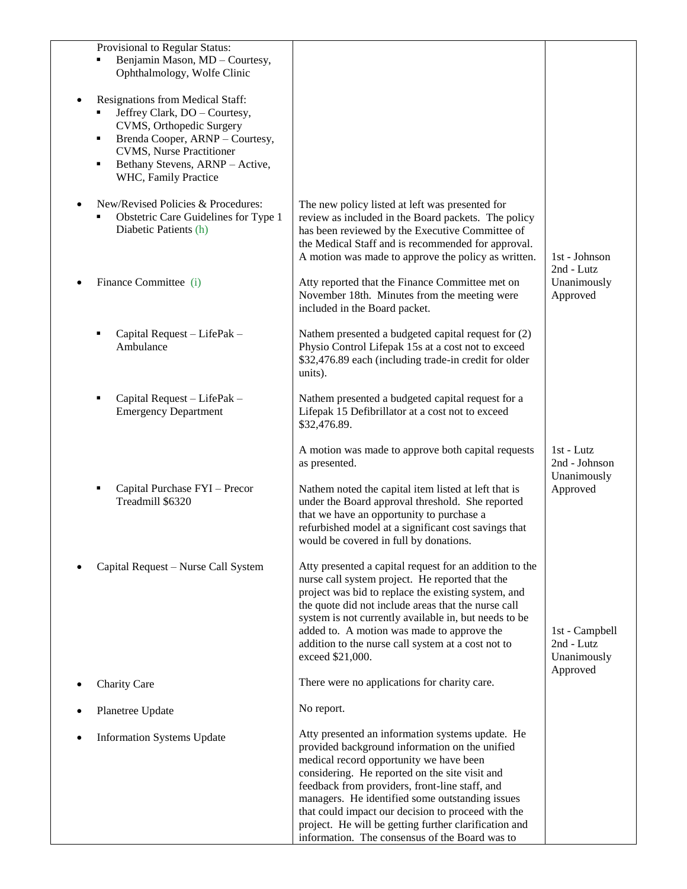|                     | Provisional to Regular Status:<br>Benjamin Mason, MD - Courtesy,<br>Ophthalmology, Wolfe Clinic                                                                                                                                 |                                                                                                                                                                                                                                                                                                                                                                                                                                                                       |                                                         |
|---------------------|---------------------------------------------------------------------------------------------------------------------------------------------------------------------------------------------------------------------------------|-----------------------------------------------------------------------------------------------------------------------------------------------------------------------------------------------------------------------------------------------------------------------------------------------------------------------------------------------------------------------------------------------------------------------------------------------------------------------|---------------------------------------------------------|
| $\bullet$<br>٠<br>٠ | Resignations from Medical Staff:<br>Jeffrey Clark, DO - Courtesy,<br>CVMS, Orthopedic Surgery<br>Brenda Cooper, ARNP - Courtesy,<br><b>CVMS</b> , Nurse Practitioner<br>Bethany Stevens, ARNP - Active,<br>WHC, Family Practice |                                                                                                                                                                                                                                                                                                                                                                                                                                                                       |                                                         |
|                     | New/Revised Policies & Procedures:<br>Obstetric Care Guidelines for Type 1<br>Diabetic Patients (h)                                                                                                                             | The new policy listed at left was presented for<br>review as included in the Board packets. The policy<br>has been reviewed by the Executive Committee of<br>the Medical Staff and is recommended for approval.<br>A motion was made to approve the policy as written.                                                                                                                                                                                                | 1st - Johnson<br>2nd - Lutz                             |
|                     | Finance Committee (i)                                                                                                                                                                                                           | Atty reported that the Finance Committee met on<br>November 18th. Minutes from the meeting were<br>included in the Board packet.                                                                                                                                                                                                                                                                                                                                      | Unanimously<br>Approved                                 |
|                     | Capital Request - LifePak -<br>Ambulance                                                                                                                                                                                        | Nathem presented a budgeted capital request for (2)<br>Physio Control Lifepak 15s at a cost not to exceed<br>\$32,476.89 each (including trade-in credit for older<br>units).                                                                                                                                                                                                                                                                                         |                                                         |
|                     | Capital Request - LifePak -<br><b>Emergency Department</b>                                                                                                                                                                      | Nathem presented a budgeted capital request for a<br>Lifepak 15 Defibrillator at a cost not to exceed<br>\$32,476.89.                                                                                                                                                                                                                                                                                                                                                 |                                                         |
|                     |                                                                                                                                                                                                                                 | A motion was made to approve both capital requests<br>as presented.                                                                                                                                                                                                                                                                                                                                                                                                   | $1st - Lutz$<br>2nd - Johnson<br>Unanimously            |
|                     | Capital Purchase FYI - Precor<br>Treadmill \$6320                                                                                                                                                                               | Nathem noted the capital item listed at left that is<br>under the Board approval threshold. She reported<br>that we have an opportunity to purchase a<br>refurbished model at a significant cost savings that<br>would be covered in full by donations.                                                                                                                                                                                                               | Approved                                                |
|                     | Capital Request - Nurse Call System                                                                                                                                                                                             | Atty presented a capital request for an addition to the<br>nurse call system project. He reported that the<br>project was bid to replace the existing system, and<br>the quote did not include areas that the nurse call<br>system is not currently available in, but needs to be<br>added to. A motion was made to approve the<br>addition to the nurse call system at a cost not to<br>exceed \$21,000.                                                             | 1st - Campbell<br>2nd - Lutz<br>Unanimously<br>Approved |
|                     | <b>Charity Care</b>                                                                                                                                                                                                             | There were no applications for charity care.                                                                                                                                                                                                                                                                                                                                                                                                                          |                                                         |
|                     | Planetree Update                                                                                                                                                                                                                | No report.                                                                                                                                                                                                                                                                                                                                                                                                                                                            |                                                         |
| ٠                   | <b>Information Systems Update</b>                                                                                                                                                                                               | Atty presented an information systems update. He<br>provided background information on the unified<br>medical record opportunity we have been<br>considering. He reported on the site visit and<br>feedback from providers, front-line staff, and<br>managers. He identified some outstanding issues<br>that could impact our decision to proceed with the<br>project. He will be getting further clarification and<br>information. The consensus of the Board was to |                                                         |